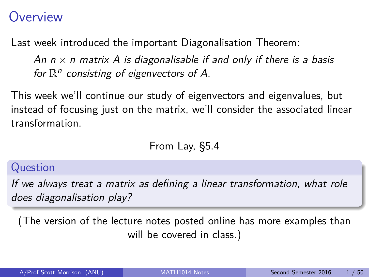# <span id="page-0-0"></span>**Overview**

Last week introduced the important Diagonalisation Theorem:

An  $n \times n$  matrix A is diagonalisable if and only if there is a basis for  $\mathbb{R}^n$  consisting of eigenvectors of A.

This week we'll continue our study of eigenvectors and eigenvalues, but instead of focusing just on the matrix, we'll consider the associated linear transformation.

From Lay, §5.4

### Question

If we always treat a matrix as defining a linear transformation, what role does diagonalisation play?

(The version of the lecture notes posted online has more examples than will be covered in class.)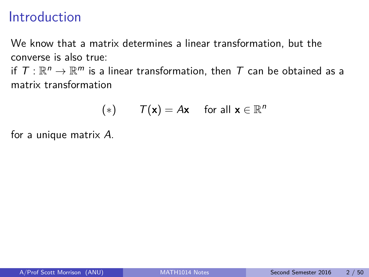# Introduction

We know that a matrix determines a linear transformation, but the converse is also true:

if  $\mathcal{T}:\mathbb{R}^n\to\mathbb{R}^m$  is a linear transformation, then  $\mathcal T$  can be obtained as a matrix transformation

$$
(*) \qquad \qquad \mathcal{T}(\mathbf{x}) = A\mathbf{x} \quad \text{ for all } \mathbf{x} \in \mathbb{R}^n
$$

for a unique matrix A.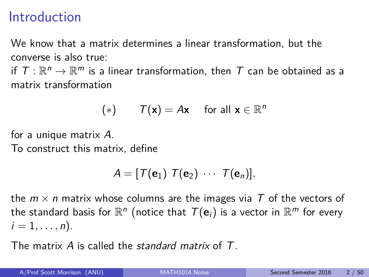# Introduction

We know that a matrix determines a linear transformation, but the converse is also true:

if  $\mathcal{T}:\mathbb{R}^n\to\mathbb{R}^m$  is a linear transformation, then  $\mathcal T$  can be obtained as a matrix transformation

$$
(*) \qquad \qquad \mathcal{T}(\mathbf{x}) = A\mathbf{x} \quad \text{ for all } \mathbf{x} \in \mathbb{R}^n
$$

for a unique matrix A.

To construct this matrix, define

$$
A=[T(\mathbf{e}_1) T(\mathbf{e}_2) \cdots T(\mathbf{e}_n)],
$$

the  $m \times n$  matrix whose columns are the images via T of the vectors of the standard basis for  $\mathbb{R}^n$  (notice that  $\mathcal{T}(\mathbf{e}_i)$  is a vector in  $\mathbb{R}^m$  for every  $i = 1, \ldots, n$ .

The matrix A is called the *standard matrix* of T.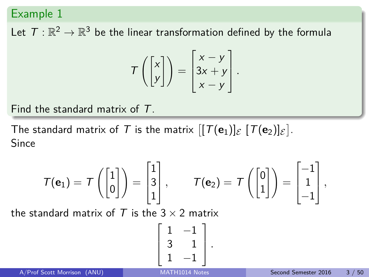Let  $\mathcal{T}:\mathbb{R}^2\to\mathbb{R}^3$  be the linear transformation defined by the formula

$$
T\left(\begin{bmatrix} x \\ y \end{bmatrix}\right) = \begin{bmatrix} x - y \\ 3x + y \\ x - y \end{bmatrix}.
$$

Find the standard matrix of T.

The standard matrix of  $\mathcal T$  is the matrix  $[[\mathcal T(\mathbf{e}_1)]_\mathcal E$   $[\mathcal T(\mathbf{e}_2)]_\mathcal E]$ . Since

$$
\mathcal{T}(\mathbf{e}_1)=\mathcal{T}\left(\begin{bmatrix}1\\0\end{bmatrix}\right)=\begin{bmatrix}1\\3\\1\end{bmatrix}, \qquad \mathcal{T}(\mathbf{e}_2)=\mathcal{T}\left(\begin{bmatrix}0\\1\end{bmatrix}\right)=\begin{bmatrix}-1\\1\\-1\end{bmatrix},
$$

the standard matrix of T is the  $3 \times 2$  matrix

$$
\left[\begin{array}{rr} 1 & -1 \\ 3 & 1 \\ 1 & -1 \end{array}\right].
$$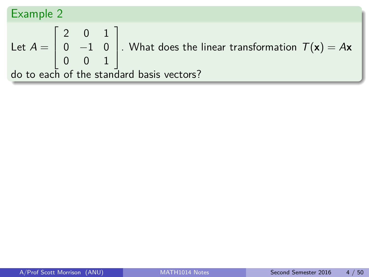Let 
$$
A = \begin{bmatrix} 2 & 0 & 1 \\ 0 & -1 & 0 \\ 0 & 0 & 1 \end{bmatrix}
$$
. What does the linear transformation  $T(\mathbf{x}) = A\mathbf{x}$   
do to each of the standard basis vectors?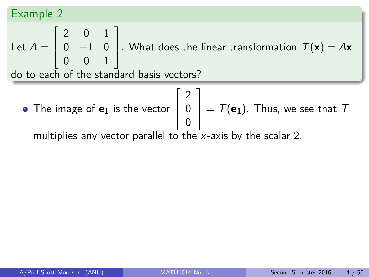Let 
$$
A = \begin{bmatrix} 2 & 0 & 1 \\ 0 & -1 & 0 \\ 0 & 0 & 1 \end{bmatrix}
$$
. What does the linear transformation  $T(\mathbf{x}) = A\mathbf{x}$ 

do to each of the standard basis vectors?

• The image of 
$$
\mathbf{e}_1
$$
 is the vector  $\begin{bmatrix} 2 \\ 0 \\ 0 \end{bmatrix} = T(\mathbf{e}_1)$ . Thus, we see that  $T$  multiplies any vector parallel to the *x*-axis by the scalar 2.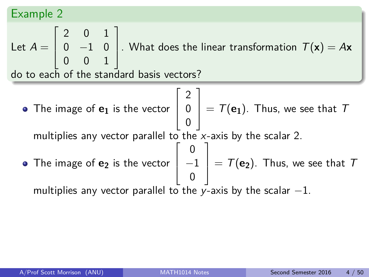Let 
$$
A = \begin{bmatrix} 2 & 0 & 1 \\ 0 & -1 & 0 \\ 0 & 0 & 1 \end{bmatrix}
$$
. What does the linear transformation  $T(\mathbf{x}) = A\mathbf{x}$ 

do to each of the standard basis vectors?

\n- The image of 
$$
\mathbf{e}_1
$$
 is the vector  $\begin{bmatrix} 2 \\ 0 \\ 0 \end{bmatrix} = T(\mathbf{e}_1)$ . Thus, we see that  $T$  multiplies any vector parallel to the *x*-axis by the scalar 2.
\n- The image of  $\mathbf{e}_2$  is the vector  $\begin{bmatrix} 0 \\ -1 \\ 0 \end{bmatrix} = T(\mathbf{e}_2)$ . Thus, we see that  $T$  multiplies any vector parallel to the *y*-axis by the scalar  $-1$ .
\n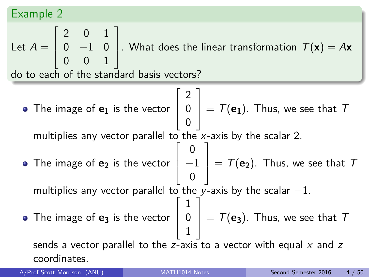Let 
$$
A = \begin{bmatrix} 2 & 0 & 1 \\ 0 & -1 & 0 \\ 0 & 0 & 1 \end{bmatrix}
$$
. What does the linear transformation  $T(\mathbf{x}) = A\mathbf{x}$ 

do to each of the standard basis vectors?

\n- The image of 
$$
\mathbf{e}_1
$$
 is the vector  $\begin{bmatrix} 2 \\ 0 \\ 0 \end{bmatrix} = T(\mathbf{e}_1)$ . Thus, we see that  $T$  multiplies any vector parallel to the *x*-axis by the scalar 2.
\n- The image of  $\mathbf{e}_2$  is the vector  $\begin{bmatrix} 0 \\ -1 \\ 0 \end{bmatrix} = T(\mathbf{e}_2)$ . Thus, we see that  $T$  multiplies any vector parallel to the *y*-axis by the scalar  $-1$ .
\n- The image of  $\mathbf{e}_3$  is the vector  $\begin{bmatrix} 1 \\ 0 \\ 1 \end{bmatrix} = T(\mathbf{e}_3)$ . Thus, we see that  $T$  sends a vector parallel to the *z*-axis to a vector with equal *x* and *z* coordinates.
\n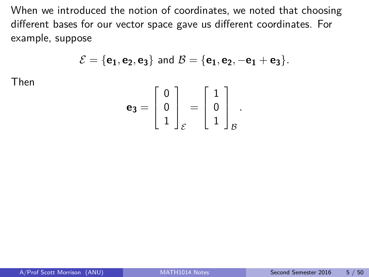$$
\mathcal{E} = \{e_1, e_2, e_3\} \text{ and } \mathcal{B} = \{e_1, e_2, -e_1 + e_3\}.
$$

Then

$$
\mathbf{e_3} = \left[ \begin{array}{c} 0 \\ 0 \\ 1 \end{array} \right]_{\mathcal{E}} = \left[ \begin{array}{c} 1 \\ 0 \\ 1 \end{array} \right]_{\mathcal{B}}.
$$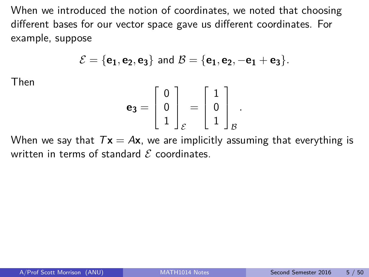$$
\mathcal{E} = \{ \textbf{e}_1, \textbf{e}_2, \textbf{e}_3 \} \text{ and } \mathcal{B} = \{ \textbf{e}_1, \textbf{e}_2, -\textbf{e}_1 + \textbf{e}_3 \}.
$$

Then

$$
\mathbf{e_3} = \left[ \begin{array}{c} 0 \\ 0 \\ 1 \end{array} \right]_{\mathcal{E}} = \left[ \begin{array}{c} 1 \\ 0 \\ 1 \end{array} \right]_{\mathcal{B}}.
$$

When we say that  $T\mathbf{x} = A\mathbf{x}$ , we are implicitly assuming that everything is written in terms of standard  $\mathcal E$  coordinates.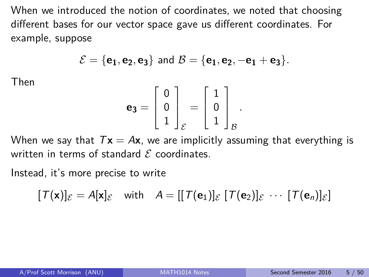$$
\mathcal{E} = \{ \textbf{e}_1, \textbf{e}_2, \textbf{e}_3 \} \text{ and } \mathcal{B} = \{ \textbf{e}_1, \textbf{e}_2, -\textbf{e}_1 + \textbf{e}_3 \}.
$$

Then

$$
\mathbf{e_3} = \left[ \begin{array}{c} 0 \\ 0 \\ 1 \end{array} \right]_{\mathcal{E}} = \left[ \begin{array}{c} 1 \\ 0 \\ 1 \end{array} \right]_{\mathcal{B}}.
$$

When we say that  $T\mathbf{x} = A\mathbf{x}$ , we are implicitly assuming that everything is written in terms of standard  $\mathcal E$  coordinates.

Instead, it's more precise to write

$$
[\mathcal{T}(\mathbf{x})]_{\mathcal{E}} = A[\mathbf{x}]_{\mathcal{E}} \quad \text{with} \quad A = [[\mathcal{T}(\mathbf{e}_1)]_{\mathcal{E}} [\mathcal{T}(\mathbf{e}_2)]_{\mathcal{E}} \cdots [\mathcal{T}(\mathbf{e}_n)]_{\mathcal{E}}]
$$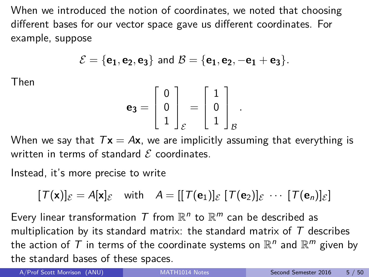$$
\mathcal{E} = \{e_1, e_2, e_3\} \text{ and } \mathcal{B} = \{e_1, e_2, -e_1 + e_3\}.
$$

Then

$$
\mathbf{e_3} = \left[ \begin{array}{c} 0 \\ 0 \\ 1 \end{array} \right]_{\mathcal{E}} = \left[ \begin{array}{c} 1 \\ 0 \\ 1 \end{array} \right]_{\mathcal{B}}.
$$

When we say that  $T\mathbf{x} = A\mathbf{x}$ , we are implicitly assuming that everything is written in terms of standard  $\mathcal E$  coordinates.

Instead, it's more precise to write

$$
[\mathcal{T}(\mathbf{x})]_{\mathcal{E}} = A[\mathbf{x}]_{\mathcal{E}} \quad \text{with} \quad A = [[\mathcal{T}(\mathbf{e}_1)]_{\mathcal{E}} [\mathcal{T}(\mathbf{e}_2)]_{\mathcal{E}} \cdots [\mathcal{T}(\mathbf{e}_n)]_{\mathcal{E}}]
$$

Every linear transformation T from  $\mathbb{R}^n$  to  $\mathbb{R}^m$  can be described as multiplication by its standard matrix: the standard matrix of  $T$  describes the action of  $\bar{T}$  in terms of the coordinate systems on  $\mathbb{R}^n$  and  $\mathbb{R}^m$  given by the standard bases of these spaces.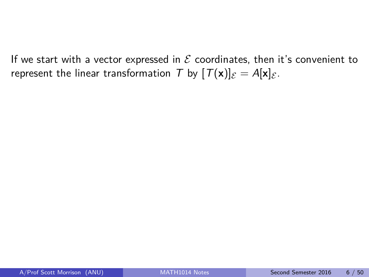If we start with a vector expressed in  $\mathcal E$  coordinates, then it's convenient to represent the linear transformation T by  $[T(\mathbf{x})]_{\mathcal{E}} = A[\mathbf{x}]_{\mathcal{E}}$ .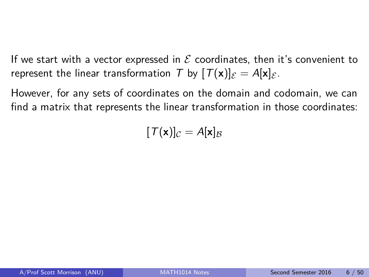If we start with a vector expressed in  $\mathcal E$  coordinates, then it's convenient to represent the linear transformation T by  $[T(x)]_{\mathcal{E}} = A[x]_{\mathcal{E}}$ .

However, for any sets of coordinates on the domain and codomain, we can find a matrix that represents the linear transformation in those coordinates:

$$
[\,\mathcal{T}(\mathbf{x})]_{\mathcal{C}} = A[\mathbf{x}]_{\mathcal{B}}
$$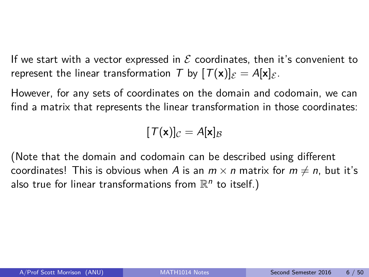If we start with a vector expressed in  $\mathcal E$  coordinates, then it's convenient to represent the linear transformation T by  $[T(x)]_{\mathcal{E}} = A[x]_{\mathcal{E}}$ .

However, for any sets of coordinates on the domain and codomain, we can find a matrix that represents the linear transformation in those coordinates:

$$
[\,\mathcal{T}(\mathbf{x})]_{\mathcal{C}} = A[\mathbf{x}]_{\mathcal{B}}
$$

(Note that the domain and codomain can be described using different coordinates! This is obvious when A is an  $m \times n$  matrix for  $m \neq n$ , but it's also true for linear transformations from  $\mathbb{R}^n$  to itself.)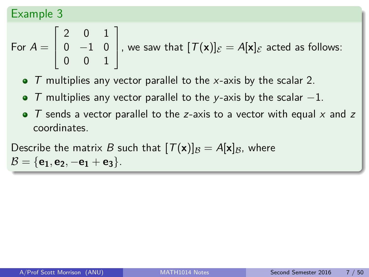For 
$$
A = \begin{bmatrix} 2 & 0 & 1 \\ 0 & -1 & 0 \\ 0 & 0 & 1 \end{bmatrix}
$$
, we saw that  $[T(\mathbf{x})]_{\mathcal{E}} = A[\mathbf{x}]_{\mathcal{E}}$  acted as follows:

- $\bullet$  T multiplies any vector parallel to the x-axis by the scalar 2.
- T multiplies any vector parallel to the y-axis by the scalar  $-1$ .
- $\bullet$  T sends a vector parallel to the z-axis to a vector with equal x and z coordinates.

Describe the matrix B such that  $[T(x)]_B = A[x]_B$ , where  $\mathcal{B} = \{e_1, e_2, -e_1 + e_3\}.$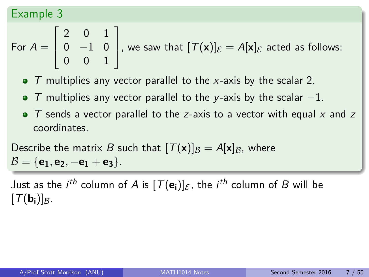For 
$$
A = \begin{bmatrix} 2 & 0 & 1 \\ 0 & -1 & 0 \\ 0 & 0 & 1 \end{bmatrix}
$$
, we saw that  $[\mathcal{T}(\mathbf{x})]_{\mathcal{E}} = A[\mathbf{x}]_{\mathcal{E}}$  acted as follows:

- $\bullet$  T multiplies any vector parallel to the x-axis by the scalar 2.
- T multiplies any vector parallel to the y-axis by the scalar  $-1$ .
- $\bullet$  T sends a vector parallel to the z-axis to a vector with equal x and z coordinates.

Describe the matrix B such that  $[T(x)]_B = A[x]_B$ , where  $\mathcal{B} = \{e_1, e_2, -e_1 + e_3\}.$ 

Just as the  $i^{th}$  column of  $A$  is  $[T(\mathbf{e_i})]_\mathcal{E}$ , the  $i^{th}$  column of  $B$  will be  $[T(\mathbf{b_i})]_{\mathcal{B}}$ .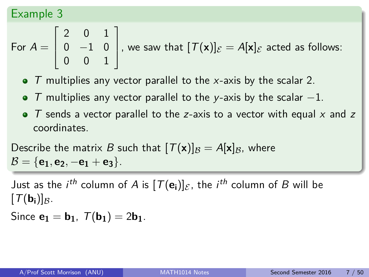For 
$$
A = \begin{bmatrix} 2 & 0 & 1 \\ 0 & -1 & 0 \\ 0 & 0 & 1 \end{bmatrix}
$$
, we saw that  $[\mathcal{T}(\mathbf{x})]_{\mathcal{E}} = A[\mathbf{x}]_{\mathcal{E}}$  acted as follows:

- $\bullet$  T multiplies any vector parallel to the x-axis by the scalar 2.
- T multiplies any vector parallel to the y-axis by the scalar  $-1$ .
- $\bullet$  T sends a vector parallel to the z-axis to a vector with equal x and z coordinates.

Describe the matrix B such that  $[T(x)]_B = A[x]_B$ , where  $\mathcal{B} = \{e_1, e_2, -e_1 + e_3\}.$ 

Just as the  $i^{th}$  column of  $A$  is  $[T(\mathbf{e_i})]_\mathcal{E}$ , the  $i^{th}$  column of  $B$  will be  $[T(\mathbf{b_i})]_{\mathcal{B}}$ .

Since  $e_1 = b_1$ ,  $T(b_1) = 2b_1$ .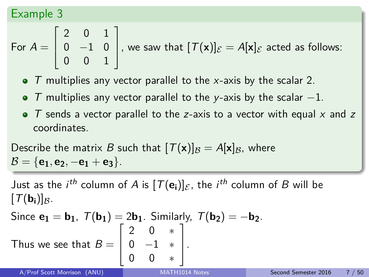For 
$$
A = \begin{bmatrix} 2 & 0 & 1 \\ 0 & -1 & 0 \\ 0 & 0 & 1 \end{bmatrix}
$$
, we saw that  $[\mathcal{T}(\mathbf{x})]_{\mathcal{E}} = A[\mathbf{x}]_{\mathcal{E}}$  acted as follows:

- $\bullet$  T multiplies any vector parallel to the x-axis by the scalar 2.
- T multiplies any vector parallel to the y-axis by the scalar  $-1$ .
- $\bullet$  T sends a vector parallel to the z-axis to a vector with equal x and z coordinates.

Describe the matrix B such that  $[T(x)]_B = A[x]_B$ , where  $\mathcal{B} = \{e_1, e_2, -e_1 + e_3\}.$ 

Just as the  $i^{th}$  column of  $A$  is  $[T(\mathbf{e_i})]_\mathcal{E}$ , the  $i^{th}$  column of  $B$  will be  $[T(\mathbf{b_i})]_{\mathcal{B}}$ .

Since 
$$
\mathbf{e_1} = \mathbf{b_1}
$$
,  $\mathcal{T}(\mathbf{b_1}) = 2\mathbf{b_1}$ . Similarly,  $\mathcal{T}(\mathbf{b_2}) = -\mathbf{b_2}$ .  
Thus we see that  $B = \begin{bmatrix} 2 & 0 & * \\ 0 & -1 & * \\ 0 & 0 & * \end{bmatrix}$ .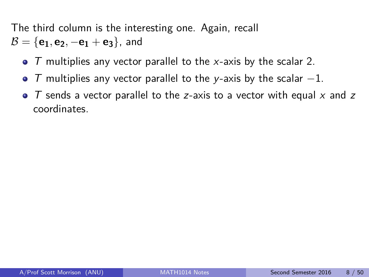- $\bullet$  T multiplies any vector parallel to the x-axis by the scalar 2.
- $\bullet$  T multiplies any vector parallel to the y-axis by the scalar  $-1$ .
- $\bullet$  T sends a vector parallel to the z-axis to a vector with equal x and z coordinates.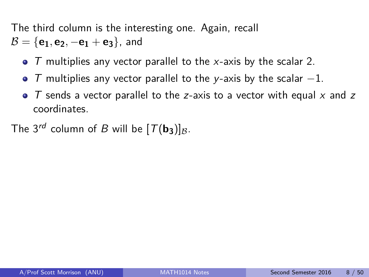- $\bullet$  T multiplies any vector parallel to the x-axis by the scalar 2.
- $\bullet$  T multiplies any vector parallel to the y-axis by the scalar  $-1$ .
- $\bullet$  T sends a vector parallel to the z-axis to a vector with equal x and z coordinates.
- The 3<sup>rd</sup> column of B will be  $[T(\mathbf{b}_3)]_{\beta}$ .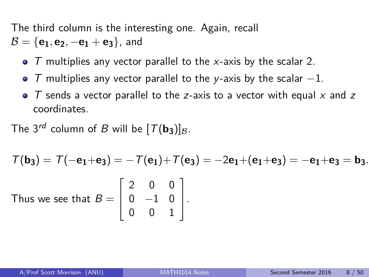- $\bullet$  T multiplies any vector parallel to the x-axis by the scalar 2.
- $\bullet$  T multiplies any vector parallel to the y-axis by the scalar  $-1$ .
- $\bullet$  T sends a vector parallel to the z-axis to a vector with equal x and z coordinates.

The 3<sup>rd</sup> column of B will be  $[T(\mathbf{b}_3)]_{\beta}$ .

$$
\mathcal{T}(\mathbf{b_3}) = \mathcal{T}(-\mathbf{e_1} + \mathbf{e_3}) = -\mathcal{T}(\mathbf{e_1}) + \mathcal{T}(\mathbf{e_3}) = -2\mathbf{e_1} + (\mathbf{e_1} + \mathbf{e_3}) = -\mathbf{e_1} + \mathbf{e_3} = \mathbf{b_3}.
$$
  
Thus we see that  $B = \begin{bmatrix} 2 & 0 & 0 \\ 0 & -1 & 0 \\ 0 & 0 & 1 \end{bmatrix}$ .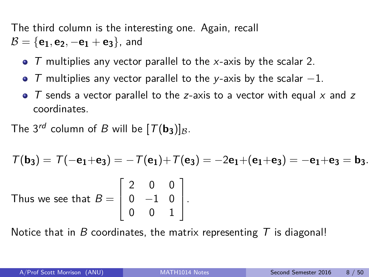- $\bullet$  T multiplies any vector parallel to the x-axis by the scalar 2.
- $\bullet$  T multiplies any vector parallel to the y-axis by the scalar  $-1$ .
- $\bullet$  T sends a vector parallel to the z-axis to a vector with equal x and z coordinates.

The 3<sup>rd</sup> column of B will be  $[T(\mathbf{b}_3)]_B$ .

$$
\mathcal{T}(\mathbf{b}_3) = \mathcal{T}(-\mathbf{e}_1 + \mathbf{e}_3) = -\mathcal{T}(\mathbf{e}_1) + \mathcal{T}(\mathbf{e}_3) = -2\mathbf{e}_1 + (\mathbf{e}_1 + \mathbf{e}_3) = -\mathbf{e}_1 + \mathbf{e}_3 = \mathbf{b}_3.
$$
  
Thus we see that  $B = \begin{bmatrix} 2 & 0 & 0 \\ 0 & -1 & 0 \\ 0 & 0 & 1 \end{bmatrix}$ .

Notice that in B coordinates, the matrix representing  $T$  is diagonal!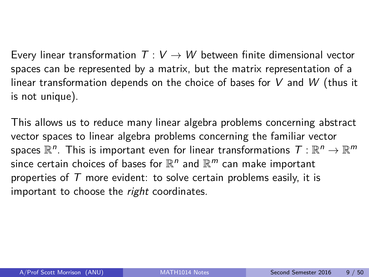Every linear transformation  $T: V \rightarrow W$  between finite dimensional vector spaces can be represented by a matrix, but the matrix representation of a linear transformation depends on the choice of bases for V and W (thus it is not unique).

This allows us to reduce many linear algebra problems concerning abstract vector spaces to linear algebra problems concerning the familiar vector spaces  $\mathbb{R}^n$ . This is important even for linear transformations  $\mathcal{T}:\mathbb{R}^n\to\mathbb{R}^m$ since certain choices of bases for  $\mathbb{R}^n$  and  $\mathbb{R}^m$  can make important properties of  $T$  more evident: to solve certain problems easily, it is important to choose the right coordinates.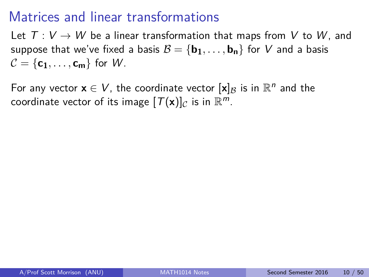# Matrices and linear transformations

Let  $T: V \rightarrow W$  be a linear transformation that maps from V to W, and suppose that we've fixed a basis  $\mathcal{B} = {\bf{b_1}, \ldots, \bf{b_n}}$  for V and a basis  $C = \{c_1, \ldots, c_m\}$  for W.

For any vector  $\mathbf{x} \in V$ , the coordinate vector  $[\mathbf{x}]_B$  is in  $\mathbb{R}^n$  and the coordinate vector of its image  $[T(\mathbf{x})]_C$  is in  $\mathbb{R}^m$ .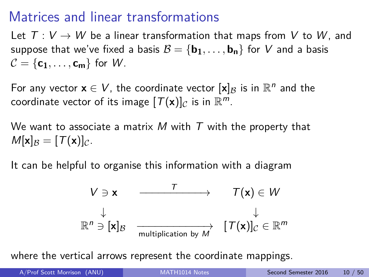# Matrices and linear transformations

Let  $T: V \rightarrow W$  be a linear transformation that maps from V to W, and suppose that we've fixed a basis  $\mathcal{B} = {\bf{b_1}, \ldots, \bf{b_n}}$  for V and a basis  $C = \{c_1, \ldots, c_m\}$  for W.

For any vector  $\mathbf{x} \in V$ , the coordinate vector  $[\mathbf{x}]_B$  is in  $\mathbb{R}^n$  and the coordinate vector of its image  $[T(\mathbf{x})]_C$  is in  $\mathbb{R}^m$ .

We want to associate a matrix M with T with the property that  $M[x]_B = [T(x)]_C$ .

It can be helpful to organise this information with a diagram

$$
V \ni \mathbf{x} \xrightarrow{\qquad T \qquad} T(\mathbf{x}) \in W
$$
  

$$
\downarrow \qquad \qquad \downarrow
$$
  

$$
\mathbb{R}^n \ni [\mathbf{x}]_B \xrightarrow{\qquad \qquad} [T(\mathbf{x})]_C \in \mathbb{R}^m
$$

where the vertical arrows represent the coordinate mappings.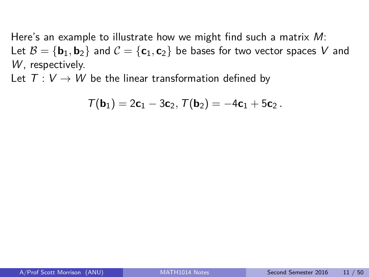Here's an example to illustrate how we might find such a matrix  $M$ : Let  $\mathcal{B} = {\mathbf{b}_1, \mathbf{b}_2}$  and  $\mathcal{C} = {\mathbf{c}_1, \mathbf{c}_2}$  be bases for two vector spaces V and W, respectively.

Let  $T: V \rightarrow W$  be the linear transformation defined by

$$
\mathcal{T}(\mathbf{b}_1)=2\mathbf{c}_1-3\mathbf{c}_2, \, \mathcal{T}(\mathbf{b}_2)=-4\mathbf{c}_1+5\mathbf{c}_2\,.
$$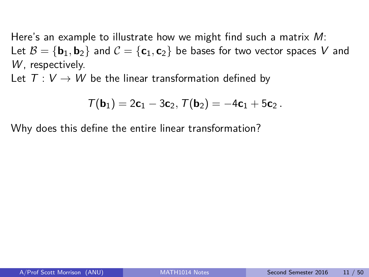Here's an example to illustrate how we might find such a matrix  $M$ : Let  $\mathcal{B} = {\mathbf{b}_1, \mathbf{b}_2}$  and  $\mathcal{C} = {\mathbf{c}_1, \mathbf{c}_2}$  be bases for two vector spaces V and W, respectively.

Let  $T: V \rightarrow W$  be the linear transformation defined by

$$
\mathcal{T}(\mathbf{b}_1)=2\mathbf{c}_1-3\mathbf{c}_2, \, \mathcal{T}(\mathbf{b}_2)=-4\mathbf{c}_1+5\mathbf{c}_2\,.
$$

Why does this define the entire linear transformation?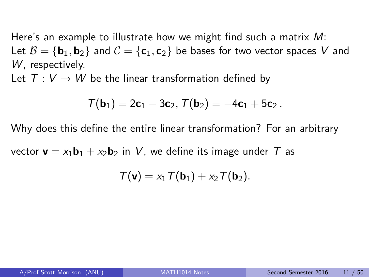Here's an example to illustrate how we might find such a matrix  $M$ : Let  $\mathcal{B} = {\mathbf{b}_1, \mathbf{b}_2}$  and  $\mathcal{C} = {\mathbf{c}_1, \mathbf{c}_2}$  be bases for two vector spaces V and W, respectively.

Let  $T: V \rightarrow W$  be the linear transformation defined by

$$
\mathcal{T}(\mathbf{b}_1)=2\mathbf{c}_1-3\mathbf{c}_2, \, \mathcal{T}(\mathbf{b}_2)=-4\mathbf{c}_1+5\mathbf{c}_2\,.
$$

Why does this define the entire linear transformation? For an arbitrary

vector  $\mathbf{v} = x_1 \mathbf{b}_1 + x_2 \mathbf{b}_2$  in V, we define its image under T as

$$
\mathcal{T}(\mathbf{v}) = x_1 \mathcal{T}(\mathbf{b}_1) + x_2 \mathcal{T}(\mathbf{b}_2).
$$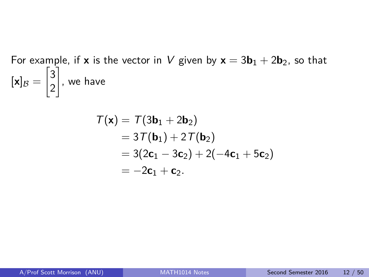For example, if **x** is the vector in V given by  $x = 3b_1 + 2b_2$ , so that  $[\mathsf{x}]_\mathcal{B} =$  $\left\lceil 3 \right\rceil$ 2 1 , we have

$$
T(\mathbf{x}) = T(3\mathbf{b}_1 + 2\mathbf{b}_2)
$$
  
= 3T(\mathbf{b}\_1) + 2T(\mathbf{b}\_2)  
= 3(2\mathbf{c}\_1 - 3\mathbf{c}\_2) + 2(-4\mathbf{c}\_1 + 5\mathbf{c}\_2)  
= -2\mathbf{c}\_1 + \mathbf{c}\_2.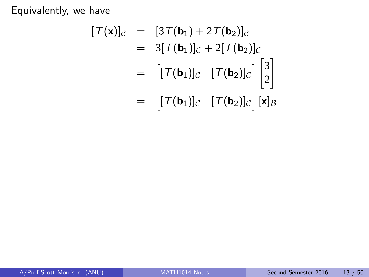Equivalently, we have

$$
[\mathcal{T}(\mathbf{x})]_{\mathcal{C}} = [3\mathcal{T}(\mathbf{b}_1) + 2\mathcal{T}(\mathbf{b}_2)]_{\mathcal{C}}
$$
  
\n
$$
= 3[\mathcal{T}(\mathbf{b}_1)]_{\mathcal{C}} + 2[\mathcal{T}(\mathbf{b}_2)]_{\mathcal{C}}
$$
  
\n
$$
= [[\mathcal{T}(\mathbf{b}_1)]_{\mathcal{C}} [\mathcal{T}(\mathbf{b}_2)]_{\mathcal{C}}] \begin{bmatrix} 3 \\ 2 \end{bmatrix}
$$
  
\n
$$
= [[\mathcal{T}(\mathbf{b}_1)]_{\mathcal{C}} [\mathcal{T}(\mathbf{b}_2)]_{\mathcal{C}}] [\mathbf{x}]_{\mathcal{B}}
$$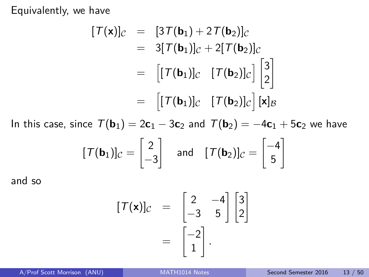Equivalently, we have

$$
[\mathcal{T}(\mathbf{x})]_C = [3\mathcal{T}(\mathbf{b}_1) + 2\mathcal{T}(\mathbf{b}_2)]_C
$$
  
\n
$$
= 3[\mathcal{T}(\mathbf{b}_1)]_C + 2[\mathcal{T}(\mathbf{b}_2)]_C
$$
  
\n
$$
= [[\mathcal{T}(\mathbf{b}_1)]_C \quad [\mathcal{T}(\mathbf{b}_2)]_C] \begin{bmatrix} 3 \\ 2 \end{bmatrix}
$$
  
\n
$$
= [[\mathcal{T}(\mathbf{b}_1)]_C \quad [\mathcal{T}(\mathbf{b}_2)]_C] \begin{bmatrix} \mathbf{x} \end{bmatrix}_B
$$

In this case, since  $T(\mathbf{b}_1) = 2\mathbf{c}_1 - 3\mathbf{c}_2$  and  $T(\mathbf{b}_2) = -4\mathbf{c}_1 + 5\mathbf{c}_2$  we have

$$
[\mathcal{T}(\mathbf{b}_1)]_{\mathcal{C}} = \begin{bmatrix} 2 \\ -3 \end{bmatrix} \quad \text{and} \quad [\mathcal{T}(\mathbf{b}_2)]_{\mathcal{C}} = \begin{bmatrix} -4 \\ 5 \end{bmatrix}
$$

and so

$$
[\mathcal{T}(\mathbf{x})]_{\mathcal{C}} = \begin{bmatrix} 2 & -4 \\ -3 & 5 \end{bmatrix} \begin{bmatrix} 3 \\ 2 \end{bmatrix}
$$

$$
= \begin{bmatrix} -2 \\ 1 \end{bmatrix}.
$$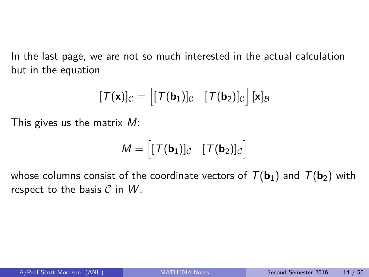In the last page, we are not so much interested in the actual calculation but in the equation

$$
[\mathcal{T}(\mathbf{x})]_{\mathcal{C}} = \left[ [\mathcal{T}(\mathbf{b}_1)]_{\mathcal{C}} \quad [\mathcal{T}(\mathbf{b}_2)]_{\mathcal{C}} \right] [\mathbf{x}]_{\mathcal{B}}
$$

This gives us the matrix M:

$$
M = \begin{bmatrix} [T(\mathbf{b}_1)]_C & [T(\mathbf{b}_2)]_C \end{bmatrix}
$$

whose columns consist of the coordinate vectors of  $T(\mathbf{b}_1)$  and  $T(\mathbf{b}_2)$  with respect to the basis  $C$  in  $W$ .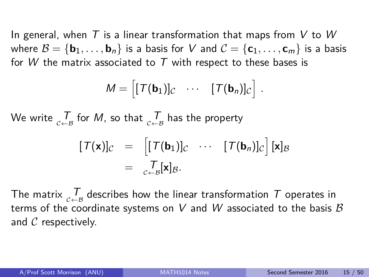In general, when  $T$  is a linear transformation that maps from V to W where  $\mathcal{B} = \{\mathbf{b}_1, \dots, \mathbf{b}_n\}$  is a basis for V and  $\mathcal{C} = \{\mathbf{c}_1, \dots, \mathbf{c}_m\}$  is a basis for W the matrix associated to T with respect to these bases is

$$
M = \left[ [T(\mathbf{b}_1)]_{\mathcal{C}} \cdots [T(\mathbf{b}_n)]_{\mathcal{C}} \right].
$$

We write  $\mathop{\mathcal{I}_{\epsilon\leftarrow\mathcal{B}}}\limits^{\mathcal{T}}$  for  $M$ , so that  $\mathop{\mathcal{I}_{\epsilon\leftarrow\mathcal{B}}}\limits^{\mathcal{T}}$  has the property

$$
[\mathcal{T}(\mathbf{x})]_{\mathcal{C}} = [[\mathcal{T}(\mathbf{b}_1)]_{\mathcal{C}} \cdots [ \mathcal{T}(\mathbf{b}_n)]_{\mathcal{C}}] [\mathbf{x}]_{\mathcal{B}}
$$

$$
= \underset{\mathcal{C} \leftarrow \mathcal{B}}{\cdot} [\mathbf{x}]_{\mathcal{B}}.
$$

The matrix  $\underset{c \leftarrow B}{T}$  describes how the linear transformation  $\,$  operates in terms of the coordinate systems on V and W associated to the basis  $\beta$ and  $\mathcal C$  respectively.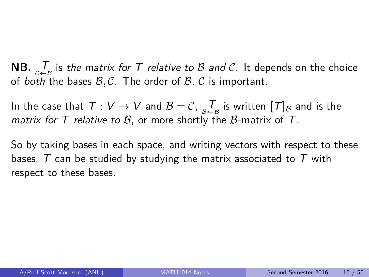$\boldsymbol{\mathsf{NB.}}\ \mathop{\mathsf{Z}\mathsf{F}}\limits_{c\leftarrow\mathcal{B}}$  is *the matrix for T relative to*  $\mathcal B$  *and*  $\mathcal C$ *.* It depends on the choice of *both* the bases  $\mathcal{B}, \mathcal{C}$ . The order of  $\mathcal{B}, \mathcal{C}$  is important.

In the case that  $\mathcal{T}:\mathcal{V}\to\mathcal{V}$  and  $\mathcal{B}=\mathcal{C},\frac{\mathcal{T}}{\mathcal{B}\leftarrow\mathcal{B}}$  is written  $[\mathcal{T}]_\mathcal{B}$  and is the matrix for T relative to B, or more shortly the B-matrix of T.

So by taking bases in each space, and writing vectors with respect to these bases,  $T$  can be studied by studying the matrix associated to  $T$  with respect to these bases.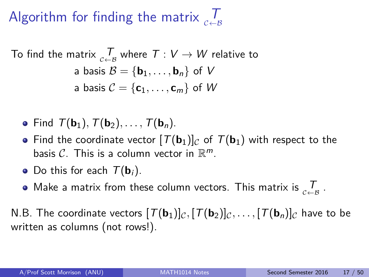# Algorithm for finding the matrix  ${}_{c\leftarrow s}^{\mathcal{T}}$

To find the matrix 
$$
\underset{c \leftarrow B}{T}
$$
 where  $T : V \rightarrow W$  relative to  
a basis  $B = {\mathbf{b}_1, ..., \mathbf{b}_n}$  of V  
a basis  $C = {\mathbf{c}_1, ..., \mathbf{c}_m}$  of W

- Find  $\mathcal{T}(\mathbf{b}_1), \mathcal{T}(\mathbf{b}_2), \ldots, \mathcal{T}(\mathbf{b}_n)$ .
- Find the coordinate vector  $[T(\mathbf{b}_1)]_C$  of  $T(\mathbf{b}_1)$  with respect to the basis  $\mathcal{C}$ . This is a column vector in  $\mathbb{R}^m$ .
- Do this for each  $T(\mathbf{b}_i)$ .
- Make a matrix from these column vectors. This matrix is  ${}_{\mathcal{C}\leftarrow\mathcal{B}}^{}$  .

N.B. The coordinate vectors  $[T(\mathbf{b}_1)]_C$ ,  $[T(\mathbf{b}_2)]_C$ , ...,  $[T(\mathbf{b}_n)]_C$  have to be written as columns (not rows!).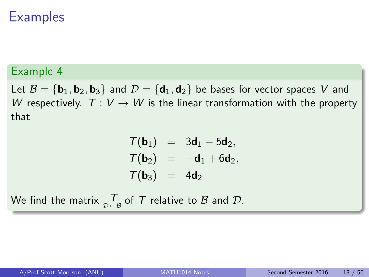#### Example 4

Let  $\mathcal{B} = {\bf{b}_1, b_2, b_3}$  and  $\mathcal{D} = {\bf{d}_1, d_2}$  be bases for vector spaces V and W respectively.  $T: V \rightarrow W$  is the linear transformation with the property that

$$
T(\mathbf{b}_1) = 3\mathbf{d}_1 - 5\mathbf{d}_2,
$$
  
\n
$$
T(\mathbf{b}_2) = -\mathbf{d}_1 + 6\mathbf{d}_2,
$$
  
\n
$$
T(\mathbf{b}_3) = 4\mathbf{d}_2
$$

We find the matrix  $\textstyle \mathop{\mathcal{T}}\limits_{\mathcal{D}\leftarrow\mathcal{B}}$  of  $\mathcal T$  relative to  $\mathcal B$  and  $\mathcal D.$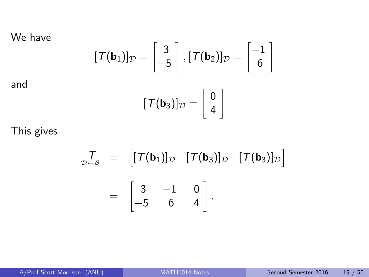We have  
\n
$$
[\mathcal{T}(\mathbf{b}_1)]_{\mathcal{D}} = \begin{bmatrix} 3 \\ -5 \end{bmatrix}, [\mathcal{T}(\mathbf{b}_2)]_{\mathcal{D}} = \begin{bmatrix} -1 \\ 6 \end{bmatrix}
$$
\nand\n
$$
[\mathcal{T}(\mathbf{b}_3)]_{\mathcal{D}} = \begin{bmatrix} 0 \\ 4 \end{bmatrix}
$$

This gives

$$
\begin{array}{rcl}\n\overline{J}_{\mathcal{D}\leftarrow\mathcal{B}} & = & \left[ [T(\mathbf{b}_1)]_{\mathcal{D}} & [T(\mathbf{b}_3)]_{\mathcal{D}} & [T(\mathbf{b}_3)]_{\mathcal{D}} \right] \\
& = & \left[ \begin{array}{ccc} 3 & -1 & 0 \\ -5 & 6 & 4 \end{array} \right].\n\end{array}
$$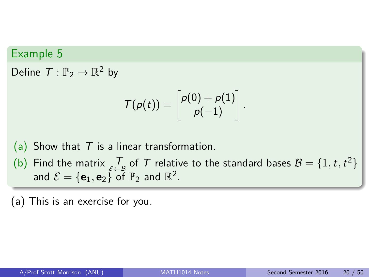Define  $T: \mathbb{P}_2 \to \mathbb{R}^2$  by

$$
\mathcal{T}(\rho(t)) = \begin{bmatrix} \rho(0) + \rho(1) \\ \rho(-1) \end{bmatrix}.
$$

(a) Show that  $T$  is a linear transformation.

(b) Find the matrix  $\sum_{\varepsilon \leftarrow B}$  of T relative to the standard bases  $\mathcal{B} = \{1, t, t^2\}$ and  $\mathcal{E} = \{ \mathbf{e}_1, \mathbf{e}_2 \}$  of  $\mathbb{P}_2$  and  $\mathbb{R}^2$ .

(a) This is an exercise for you.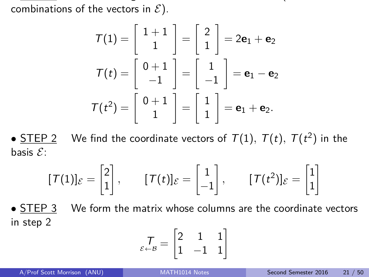$\sim$  STEP 1 Find the images of the vectors in B under T (as linear  $\sim$ combinations of the vectors in  $\mathcal{E}$ ).

$$
T(1) = \begin{bmatrix} 1+1 \\ 1 \end{bmatrix} = \begin{bmatrix} 2 \\ 1 \end{bmatrix} = 2\mathbf{e}_1 + \mathbf{e}_2
$$

$$
T(t) = \begin{bmatrix} 0+1 \\ -1 \end{bmatrix} = \begin{bmatrix} 1 \\ -1 \end{bmatrix} = \mathbf{e}_1 - \mathbf{e}_2
$$

$$
T(t^2) = \begin{bmatrix} 0+1 \\ 1 \end{bmatrix} = \begin{bmatrix} 1 \\ 1 \end{bmatrix} = \mathbf{e}_1 + \mathbf{e}_2.
$$

 $\bullet$  <u>STEP 2</u> We find the coordinate vectors of  $T(1), T(t), T(t^2)$  in the basis  $\mathcal{E}$ :

$$
[\mathcal{T}(1)]_{\mathcal{E}} = \begin{bmatrix} 2 \\ 1 \end{bmatrix}, \qquad [\mathcal{T}(t)]_{\mathcal{E}} = \begin{bmatrix} 1 \\ -1 \end{bmatrix}, \qquad [\mathcal{T}(t^2)]_{\mathcal{E}} = \begin{bmatrix} 1 \\ 1 \end{bmatrix}
$$

• STEP 3 We form the matrix whose columns are the coordinate vectors in step 2

$$
\mathop{\mathcal{I}_{\varepsilon\leftarrow\mathcal{B}}}\limits^{-}=\begin{bmatrix}2&1&1\\1&-1&1\end{bmatrix}
$$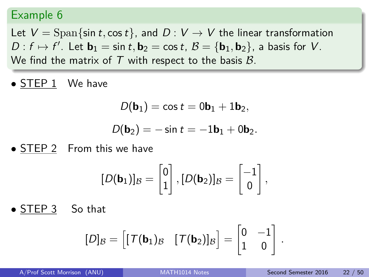Let  $V = \text{Span}\{\sin t, \cos t\}$ , and  $D: V \to V$  the linear transformation  $D: f \mapsto f'$ . Let  $\mathbf{b}_1 = \sin t, \mathbf{b}_2 = \cos t, \mathcal{B} = {\mathbf{b}_1, \mathbf{b}_2}$ , a basis for V. We find the matrix of  $T$  with respect to the basis  $B$ .

• STEP 1 We have

$$
D(\mathbf{b}_1)=\cos t=0\mathbf{b}_1+1\mathbf{b}_2,
$$

$$
D(\mathbf{b}_2)=-\sin t=-1\mathbf{b}_1+0\mathbf{b}_2.
$$

• STEP 2 From this we have

$$
[D(\mathbf{b}_1)]_{\mathcal{B}} = \begin{bmatrix} 0 \\ 1 \end{bmatrix}, [D(\mathbf{b}_2)]_{\mathcal{B}} = \begin{bmatrix} -1 \\ 0 \end{bmatrix},
$$

• STEP 3 So that

$$
[D]_{\mathcal{B}} = \begin{bmatrix} [\mathcal{T}(\mathbf{b}_1)_{\mathcal{B}} & [\mathcal{T}(\mathbf{b}_2)]_{\mathcal{B}} \end{bmatrix} = \begin{bmatrix} 0 & -1 \\ 1 & 0 \end{bmatrix}
$$

*.*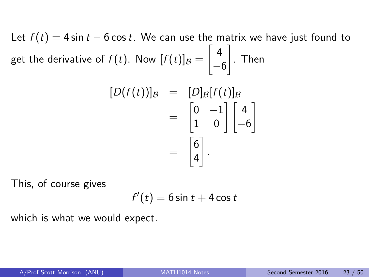Let  $f(t) = 4 \sin t - 6 \cos t$ . We can use the matrix we have just found to get the derivative of  $f(t).$  Now  $[f(t)]_\mathcal{B} =$  $\left\lceil 4 \right\rceil$  $-6$ 1 . Then

$$
[D(f(t))]_B = [D]_B[f(t)]_B
$$
  
=  $\begin{bmatrix} 0 & -1 \\ 1 & 0 \end{bmatrix} \begin{bmatrix} 4 \\ -6 \end{bmatrix}$   
=  $\begin{bmatrix} 6 \\ 4 \end{bmatrix}$ .

This, of course gives

$$
f'(t) = 6\sin t + 4\cos t
$$

which is what we would expect.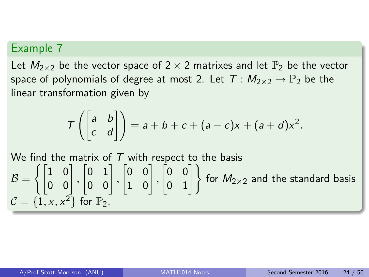Let  $M_{2\times 2}$  be the vector space of 2  $\times$  2 matrixes and let  $\mathbb{P}_2$  be the vector space of polynomials of degree at most 2. Let  $T : M_{2\times 2} \to \mathbb{P}_2$  be the linear transformation given by

$$
\mathcal{T}\left(\begin{bmatrix}a & b \\ c & d\end{bmatrix}\right) = a + b + c + (a - c)x + (a + d)x^{2}.
$$

We find the matrix of  $T$  with respect to the basis  $\mathcal{B} = \left\{ \begin{bmatrix} 1 & 0 \ 0 & 0 \end{bmatrix}, \right.$  $\begin{bmatrix} 0 & 1 \\ 0 & 0 \end{bmatrix}$  $\begin{bmatrix} 0 & 0 \\ 1 & 0 \end{bmatrix}$  $\begin{bmatrix} 0 & 0 \\ 0 & 1 \end{bmatrix}$  for  $M_{2\times 2}$  and the standard basis  $\mathcal{C} = \{1, x, x^2\}$  for  $\mathbb{P}_2$ .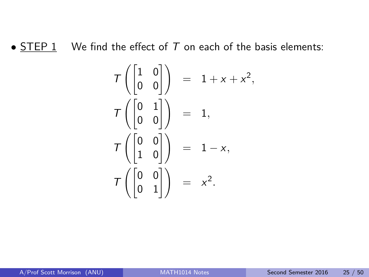•  $STEP 1$  We find the effect of  $T$  on each of the basis elements:</u>

$$
T\begin{pmatrix} 1 & 0 \\ 0 & 0 \end{pmatrix} = 1 + x + x^2,
$$
  
\n
$$
T\begin{pmatrix} 0 & 1 \\ 0 & 0 \end{pmatrix} = 1,
$$
  
\n
$$
T\begin{pmatrix} 0 & 0 \\ 1 & 0 \end{pmatrix} = 1 - x,
$$
  
\n
$$
T\begin{pmatrix} 0 & 0 \\ 0 & 1 \end{pmatrix} = x^2.
$$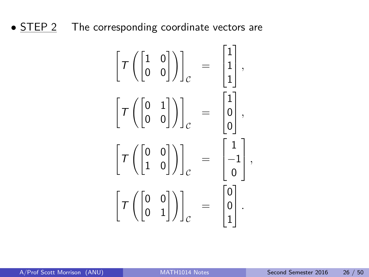• STEP 2 The corresponding coordinate vectors are

$$
\begin{bmatrix}\n\mathcal{T}\n\begin{bmatrix}\n1 & 0 \\
0 & 0\n\end{bmatrix}\n\end{bmatrix}_c =\n\begin{bmatrix}\n1 \\
1 \\
1\n\end{bmatrix},
$$
\n
$$
\begin{bmatrix}\n\mathcal{T}\n\begin{bmatrix}\n0 & 1 \\
0 & 0\n\end{bmatrix}\n\end{bmatrix}_c =\n\begin{bmatrix}\n1 \\
0 \\
0\n\end{bmatrix},
$$
\n
$$
\begin{bmatrix}\n\mathcal{T}\n\begin{bmatrix}\n0 & 0 \\
1 & 0\n\end{bmatrix}\n\end{bmatrix}_c =\n\begin{bmatrix}\n1 \\
-1 \\
0\n\end{bmatrix},
$$
\n
$$
\begin{bmatrix}\n\mathcal{T}\n\begin{bmatrix}\n0 & 0 \\
0 & 1\n\end{bmatrix}\n\end{bmatrix}_c =\n\begin{bmatrix}\n0 \\
0 \\
1\n\end{bmatrix}.
$$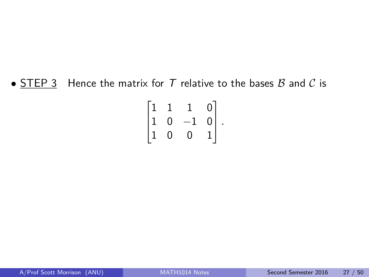•  $STEP 3$  Hence the matrix for T relative to the bases  $B$  and  $C$  is</u>

$$
\begin{bmatrix} 1 & 1 & 1 & 0 \\ 1 & 0 & -1 & 0 \\ 1 & 0 & 0 & 1 \end{bmatrix}.
$$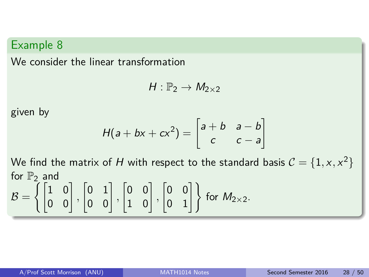We consider the linear transformation

$$
H:\mathbb{P}_2\to M_{2\times 2}
$$

given by

$$
H(a + bx + cx^{2}) = \begin{bmatrix} a + b & a - b \\ c & c - a \end{bmatrix}
$$

We find the matrix of  $H$  with respect to the standard basis  $\mathcal{C} = \{1, x, x^2\}$ for  $\mathbb{P}_2$  and  $\mathcal{B} = \left\{ \begin{bmatrix} 1 & 0 \ 0 & 0 \end{bmatrix}, \right.$  $\begin{bmatrix} 0 & 1 \\ 0 & 0 \end{bmatrix}$  $\begin{bmatrix} 0 & 0 \\ 1 & 0 \end{bmatrix}$  $\begin{bmatrix} 0 & 0 \\ 0 & 1 \end{bmatrix}$  for  $M_{2\times 2}$ .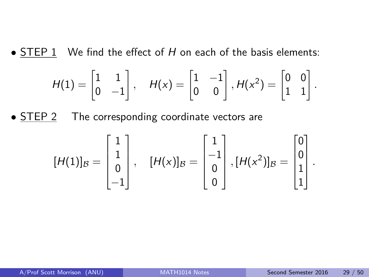• STEP 1 We find the effect of  $H$  on each of the basis elements:

$$
H(1) = \begin{bmatrix} 1 & 1 \\ 0 & -1 \end{bmatrix}, \quad H(x) = \begin{bmatrix} 1 & -1 \\ 0 & 0 \end{bmatrix}, H(x^2) = \begin{bmatrix} 0 & 0 \\ 1 & 1 \end{bmatrix}
$$

• **STEP 2** The corresponding coordinate vectors are

$$
[H(1)]_{\mathcal{B}} = \begin{bmatrix} 1 \\ 1 \\ 0 \\ -1 \end{bmatrix}, \quad [H(x)]_{\mathcal{B}} = \begin{bmatrix} 1 \\ -1 \\ 0 \\ 0 \end{bmatrix}, [H(x^2)]_{\mathcal{B}} = \begin{bmatrix} 0 \\ 0 \\ 1 \\ 1 \end{bmatrix}.
$$

*.*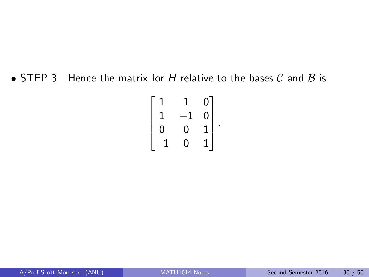• STEP 3 Hence the matrix for H relative to the bases  $C$  and  $B$  is

$$
\begin{bmatrix} 1 & 1 & 0 \\ 1 & -1 & 0 \\ 0 & 0 & 1 \\ -1 & 0 & 1 \end{bmatrix}.
$$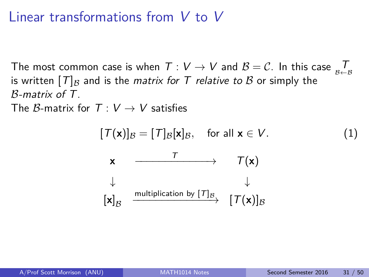# Linear transformations from V to V

The most common case is when  $T: V \to V$  and  $\mathcal{B} = \mathcal{C}$ . In this case  $\frac{T}{\mathcal{B} \leftarrow \mathcal{B}}$ is written  $[T]_B$  and is the *matrix for* T relative to B or simply the B-matrix of T.

The B-matrix for  $T: V \rightarrow V$  satisfies

$$
[\mathcal{T}(\mathbf{x})]_{\mathcal{B}} = [\mathcal{T}]_{\mathcal{B}}[\mathbf{x}]_{\mathcal{B}}, \text{ for all } \mathbf{x} \in V.
$$
 (1)  

$$
\mathbf{x} \xrightarrow{\mathcal{T}} \mathcal{T}(\mathbf{x})
$$
  

$$
\downarrow \qquad \qquad \downarrow \qquad \qquad \downarrow
$$
  

$$
[\mathbf{x}]_{\mathcal{B}} \xrightarrow{\text{multiplication by } [\mathcal{T}]_{\mathcal{B}}} [\mathcal{T}(\mathbf{x})]_{\mathcal{B}}
$$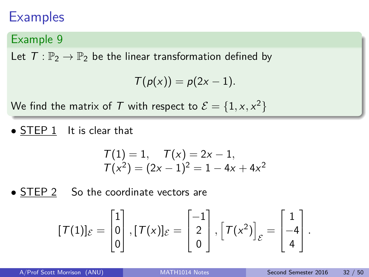### Example 9

Let  $T: \mathbb{P}_2 \to \mathbb{P}_2$  be the linear transformation defined by

 $T(p(x)) = p(2x - 1)$ .

We find the matrix of  $\mathcal T$  with respect to  $\mathcal E = \{1,x,x^2\}$ 

• STEP 1 It is clear that

$$
T(1) = 1, \quad T(x) = 2x - 1,T(x2) = (2x - 1)2 = 1 - 4x + 4x2
$$

• STEP 2 So the coordinate vectors are

$$
[\mathcal{T}(1)]_{\mathcal{E}} = \begin{bmatrix} 1 \\ 0 \\ 0 \end{bmatrix}, [\mathcal{T}(x)]_{\mathcal{E}} = \begin{bmatrix} -1 \\ 2 \\ 0 \end{bmatrix}, [\mathcal{T}(x^2)]_{\mathcal{E}} = \begin{bmatrix} 1 \\ -4 \\ 4 \end{bmatrix}.
$$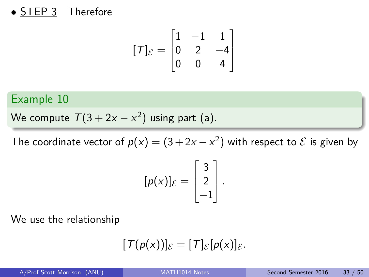#### • STEP 3 Therefore

$$
[T]_{\mathcal{E}} = \begin{bmatrix} 1 & -1 & 1 \\ 0 & 2 & -4 \\ 0 & 0 & 4 \end{bmatrix}
$$

#### Example 10

We compute  $T(3+2x-x^2)$  using part (a).

The coordinate vector of  $p(x) = (3 + 2x - x^2)$  with respect to  ${\cal E}$  is given by

$$
[p(x)]_{\mathcal{E}} = \begin{bmatrix} 3 \\ 2 \\ -1 \end{bmatrix}.
$$

We use the relationship

$$
[\mathcal{T}(p(x))]_{\mathcal{E}}=[\mathcal{T}]_{\mathcal{E}}[p(x)]_{\mathcal{E}}.
$$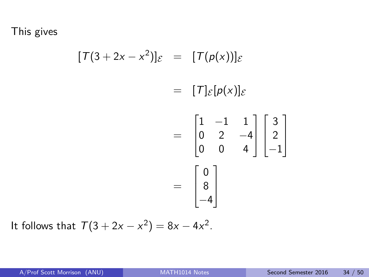This gives

$$
[\mathcal{T}(3+2x-x^2)]_{\mathcal{E}} = [\mathcal{T}(p(x))]_{\mathcal{E}}
$$

$$
= [\mathcal{T}]_{\mathcal{E}}[p(x)]_{\mathcal{E}}
$$

$$
= \begin{bmatrix} 1 & -1 & 1 \\ 0 & 2 & -4 \\ 0 & 0 & 4 \end{bmatrix} \begin{bmatrix} 3 \\ 2 \\ -1 \end{bmatrix}
$$

$$
= \begin{bmatrix} 0 \\ 8 \\ -4 \end{bmatrix}
$$

It follows that  $T(3 + 2x - x^2) = 8x - 4x^2$ .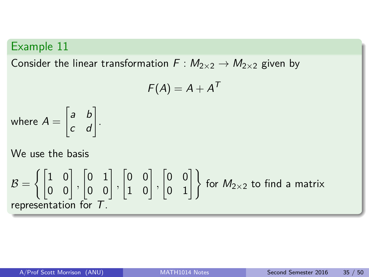Consider the linear transformation  $F : M_{2\times 2} \to M_{2\times 2}$  given by

$$
\mathsf{F}(A) = A + A^{\mathsf{T}}
$$

where 
$$
A = \begin{bmatrix} a & b \\ c & d \end{bmatrix}
$$
.

We use the basis

$$
\mathcal{B} = \left\{ \begin{bmatrix} 1 & 0 \\ 0 & 0 \end{bmatrix}, \begin{bmatrix} 0 & 1 \\ 0 & 0 \end{bmatrix}, \begin{bmatrix} 0 & 0 \\ 1 & 0 \end{bmatrix}, \begin{bmatrix} 0 & 0 \\ 0 & 1 \end{bmatrix} \right\} \text{ for } M_{2 \times 2} \text{ to find a matrix representation for } \mathcal{T}.
$$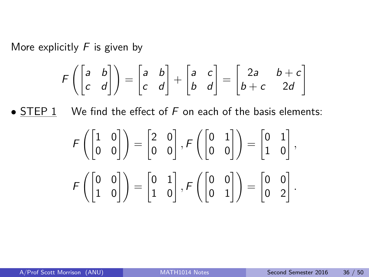More explicitly  $F$  is given by

$$
F\left(\begin{bmatrix} a & b \\ c & d \end{bmatrix}\right) = \begin{bmatrix} a & b \\ c & d \end{bmatrix} + \begin{bmatrix} a & c \\ b & d \end{bmatrix} = \begin{bmatrix} 2a & b+c \\ b+c & 2d \end{bmatrix}
$$

• STEP 1 We find the effect of  $F$  on each of the basis elements:

$$
F\left(\begin{bmatrix} 1 & 0 \\ 0 & 0 \end{bmatrix}\right) = \begin{bmatrix} 2 & 0 \\ 0 & 0 \end{bmatrix}, F\left(\begin{bmatrix} 0 & 1 \\ 0 & 0 \end{bmatrix}\right) = \begin{bmatrix} 0 & 1 \\ 1 & 0 \end{bmatrix},
$$

$$
F\left(\begin{bmatrix} 0 & 0 \\ 1 & 0 \end{bmatrix}\right) = \begin{bmatrix} 0 & 1 \\ 1 & 0 \end{bmatrix}, F\left(\begin{bmatrix} 0 & 0 \\ 0 & 1 \end{bmatrix}\right) = \begin{bmatrix} 0 & 0 \\ 0 & 2 \end{bmatrix}.
$$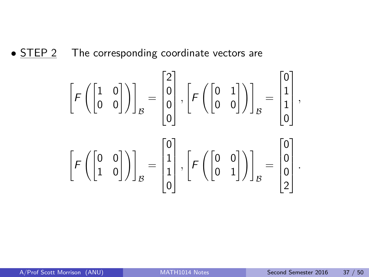### • **STEP 2** The corresponding coordinate vectors are

$$
\begin{bmatrix} F\left(\begin{bmatrix} 1 & 0 \\ 0 & 0 \end{bmatrix}\right) \end{bmatrix}_{B} = \begin{bmatrix} 2 \\ 0 \\ 0 \end{bmatrix}, \begin{bmatrix} F\left(\begin{bmatrix} 0 & 1 \\ 0 & 0 \end{bmatrix}\right) \end{bmatrix}_{B} = \begin{bmatrix} 0 \\ 1 \\ 0 \end{bmatrix},
$$

$$
\begin{bmatrix} F\left(\begin{bmatrix} 0 & 0 \\ 1 & 0 \end{bmatrix}\right) \end{bmatrix}_{B} = \begin{bmatrix} 0 \\ 1 \\ 1 \\ 0 \end{bmatrix}, \begin{bmatrix} F\left(\begin{bmatrix} 0 & 0 \\ 0 & 1 \end{bmatrix}\right) \end{bmatrix}_{B} = \begin{bmatrix} 0 \\ 0 \\ 0 \\ 2 \end{bmatrix}.
$$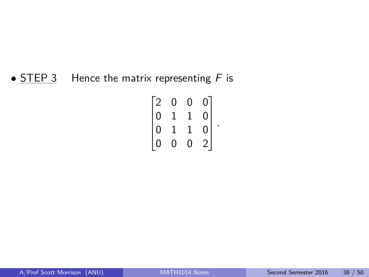•  $STEP_3$  Hence the matrix representing  $F$  is

$$
\begin{bmatrix} 2 & 0 & 0 & 0 \\ 0 & 1 & 1 & 0 \\ 0 & 1 & 1 & 0 \\ 0 & 0 & 0 & 2 \end{bmatrix}.
$$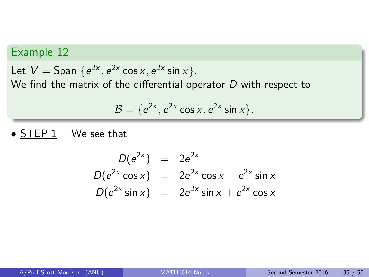Let  $V = \text{Span} \{e^{2x}, e^{2x} \cos x, e^{2x} \sin x \}.$ We find the matrix of the differential operator D with respect to

$$
\mathcal{B} = \{e^{2x}, e^{2x} \cos x, e^{2x} \sin x\}.
$$

• STEP 1 We see that

$$
D(e^{2x}) = 2e^{2x}
$$
  
\n
$$
D(e^{2x} \cos x) = 2e^{2x} \cos x - e^{2x} \sin x
$$
  
\n
$$
D(e^{2x} \sin x) = 2e^{2x} \sin x + e^{2x} \cos x
$$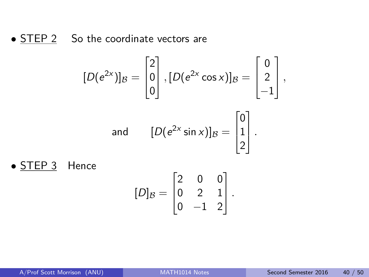• STEP 2 So the coordinate vectors are

$$
[D(e^{2x})]_B = \begin{bmatrix} 2 \\ 0 \\ 0 \end{bmatrix}, [D(e^{2x}\cos x)]_B = \begin{bmatrix} 0 \\ 2 \\ -1 \end{bmatrix},
$$

and 
$$
[D(e^{2x} \sin x)]_{\mathcal{B}} = \begin{bmatrix} 0 \\ 1 \\ 2 \end{bmatrix}.
$$

• **STEP 3** Hence

$$
[D]_B = \begin{bmatrix} 2 & 0 & 0 \\ 0 & 2 & 1 \\ 0 & -1 & 2 \end{bmatrix}.
$$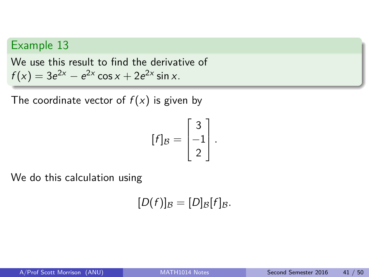We use this result to find the derivative of  $f(x) = 3e^{2x} - e^{2x} \cos x + 2e^{2x} \sin x$ .

The coordinate vector of  $f(x)$  is given by

$$
[f]_{\mathcal{B}} = \begin{bmatrix} 3 \\ -1 \\ 2 \end{bmatrix}.
$$

We do this calculation using

 $[D(f)]_B = [D]_B[f]_B.$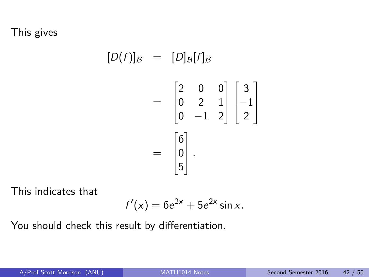This gives

$$
[D(f)]_{\mathcal{B}} = [D]_{\mathcal{B}}[f]_{\mathcal{B}}
$$
  
= 
$$
\begin{bmatrix} 2 & 0 & 0 \\ 0 & 2 & 1 \\ 0 & -1 & 2 \end{bmatrix} \begin{bmatrix} 3 \\ -1 \\ 2 \end{bmatrix}
$$
  
= 
$$
\begin{bmatrix} 6 \\ 0 \\ 5 \end{bmatrix}.
$$

This indicates that

$$
f'(x) = 6e^{2x} + 5e^{2x} \sin x.
$$

You should check this result by differentiation.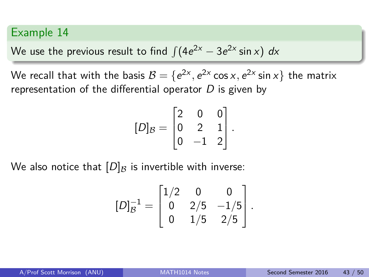We use the previous result to find 
$$
\int (4e^{2x} - 3e^{2x} \sin x) \, dx
$$

We recall that with the basis  $\mathcal{B} = \{e^{2x}, e^{2x}\cos x, e^{2x}\sin x\}$  the matrix representation of the differential operator  $D$  is given by

$$
[D]_{\mathcal{B}} = \begin{bmatrix} 2 & 0 & 0 \\ 0 & 2 & 1 \\ 0 & -1 & 2 \end{bmatrix}.
$$

We also notice that  $[D]_B$  is invertible with inverse:

$$
[D]_B^{-1} = \begin{bmatrix} 1/2 & 0 & 0 \\ 0 & 2/5 & -1/5 \\ 0 & 1/5 & 2/5 \end{bmatrix}.
$$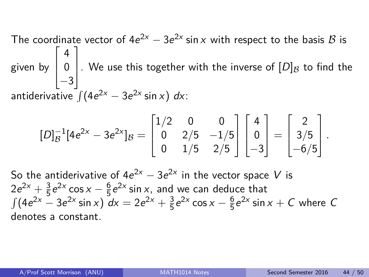The coordinate vector of 4 $e^{2x}$   $-$  3 $e^{2x}$  sin $x$  with respect to the basis  ${\cal B}$  is given by  $\sqrt{ }$  $\overline{\phantom{a}}$ 4 0  $-3$ 1 We use this together with the inverse of  $[D]_B$  to find the antiderivative  $\int (4e^{2x} - 3e^{2x} \sin x) dx$ :

$$
[D]_B^{-1}[4e^{2x} - 3e^{2x}]_B = \begin{bmatrix} 1/2 & 0 & 0 \\ 0 & 2/5 & -1/5 \\ 0 & 1/5 & 2/5 \end{bmatrix} \begin{bmatrix} 4 \\ 0 \\ -3 \end{bmatrix} = \begin{bmatrix} 2 \\ 3/5 \\ -6/5 \end{bmatrix}.
$$

So the antiderivative of 4 $e^{2x} - 3e^{2x}$  in the vector space V is  $2e^{2x} + \frac{3}{5}e^{2x} \cos x - \frac{6}{5}e^{2x} \sin x$ , and we can deduce that  $\int (4e^{2x} - 3e^{2x} \sin x) dx = 2e^{2x} + \frac{3}{5}$  $\frac{3}{5}e^{2x}\cos x-\frac{6}{5}$  $\frac{6}{5}e^{2x}\sin x + C$  where C denotes a constant.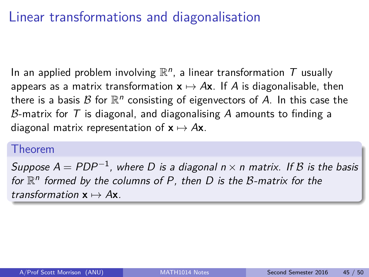# Linear transformations and diagonalisation

In an applied problem involving  $\mathbb{R}^n$ , a linear transformation  $T$  usually appears as a matrix transformation  $x \mapsto Ax$ . If A is diagonalisable, then there is a basis  $\mathcal B$  for  $\mathbb R^n$  consisting of eigenvectors of  $A$ . In this case the B-matrix for T is diagonal, and diagonalising A amounts to finding a diagonal matrix representation of  $x \mapsto Ax$ .

#### Theorem

Suppose A  $=$  PDP $^{-1}$ , where D is a diagonal n  $\times$  n matrix. If  ${\cal B}$  is the basis for  $\mathbb{R}^n$  formed by the columns of P, then D is the B-matrix for the transformation  $x \mapsto Ax$ .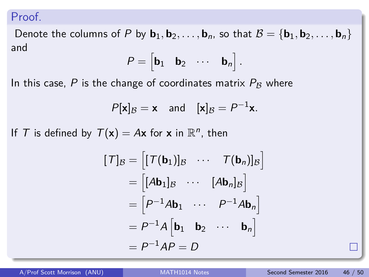#### Proof.

Denote the columns of P by  $\mathbf{b}_1, \mathbf{b}_2, \ldots, \mathbf{b}_n$ , so that  $\mathcal{B} = {\mathbf{b}_1, \mathbf{b}_2, \ldots, \mathbf{b}_n}$ and

$$
P=\begin{bmatrix} \mathbf{b}_1 & \mathbf{b}_2 & \cdots & \mathbf{b}_n \end{bmatrix}.
$$

In this case,  $P$  is the change of coordinates matrix  $P_B$  where

$$
P[\mathbf{x}]_{\mathcal{B}} = \mathbf{x}
$$
 and  $[\mathbf{x}]_{\mathcal{B}} = P^{-1}\mathbf{x}$ .

If T is defined by  $T(x) = Ax$  for x in  $\mathbb{R}^n$ , then

$$
[T]_B = [T(\mathbf{b}_1)]_B \cdots T(\mathbf{b}_n)]_B
$$
  
\n
$$
= [A\mathbf{b}_1]_B \cdots [A\mathbf{b}_n]_B
$$
  
\n
$$
= [P^{-1}A\mathbf{b}_1 \cdots P^{-1}A\mathbf{b}_n]
$$
  
\n
$$
= P^{-1}A [\mathbf{b}_1 \ \mathbf{b}_2 \cdots \mathbf{b}_n]
$$
  
\n
$$
= P^{-1}AP = D
$$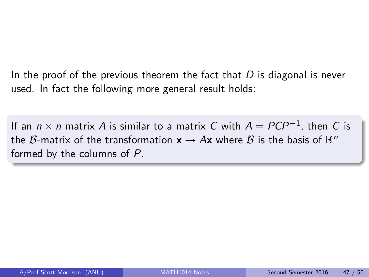In the proof of the previous theorem the fact that  $D$  is diagonal is never used. In fact the following more general result holds:

If an  $n \times n$  matrix  $A$  is similar to a matrix  $C$  with  $A = P C P^{-1}$ , then  $C$  is the  $\mathcal{B}$ -matrix of the transformation  $\mathbf{x} \to A\mathbf{x}$  where  $\mathcal{B}$  is the basis of  $\mathbb{R}^n$ formed by the columns of P.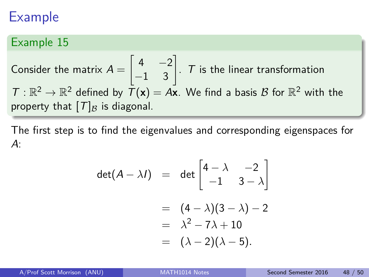### Example 15

Consider the matrix  $A =$  $\begin{bmatrix} 4 & -2 \\ -1 & 3 \end{bmatrix}$ . T is the linear transformation  $T: \mathbb{R}^2 \to \mathbb{R}^2$  defined by  $\bar{T}(\mathsf{x}) = A\mathsf{x}$ . We find a basis  $B$  for  $\mathbb{R}^2$  with the property that  $[T]_B$  is diagonal.

The first step is to find the eigenvalues and corresponding eigenspaces for A:

$$
\det(A - \lambda I) = \det \begin{bmatrix} 4 - \lambda & -2 \\ -1 & 3 - \lambda \end{bmatrix}
$$

$$
= (4 - \lambda)(3 - \lambda) - 2
$$

$$
= \lambda^2 - 7\lambda + 10
$$

$$
= (\lambda - 2)(\lambda - 5).
$$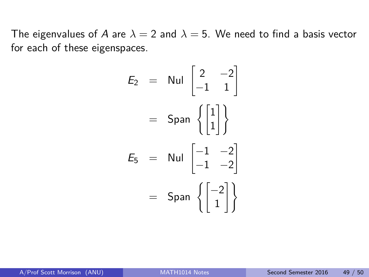The eigenvalues of A are  $\lambda = 2$  and  $\lambda = 5$ . We need to find a basis vector for each of these eigenspaces.

$$
E_2 = \text{Nul} \begin{bmatrix} 2 & -2 \\ -1 & 1 \end{bmatrix}
$$

$$
= \text{Span} \left\{ \begin{bmatrix} 1 \\ 1 \end{bmatrix} \right\}
$$

$$
E_5 = \text{Nul} \begin{bmatrix} -1 & -2 \\ -1 & -2 \end{bmatrix}
$$

$$
= \text{Span} \left\{ \begin{bmatrix} -2 \\ 1 \end{bmatrix} \right\}
$$